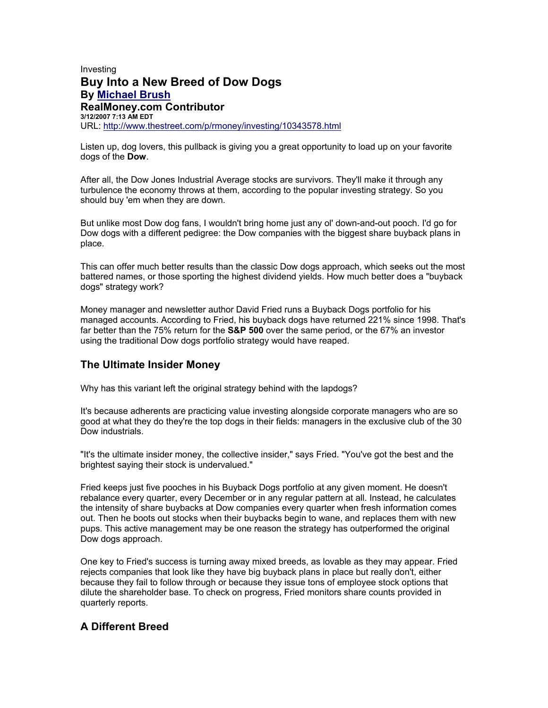## Investing **Buy Into a New Breed of Dow Dogs By [Michael Brush](http://apps.thestreet.com/cms/email/rmyEmailStory.do?storyId=10343578&authorId=1005732&storyUrl=/p/rmoney/investing/10343578.html) RealMoney.com Contributor 3/12/2007 7:13 AM EDT** URL: <http://www.thestreet.com/p/rmoney/investing/10343578.html>

Listen up, dog lovers, this pullback is giving you a great opportunity to load up on your favorite dogs of the **Dow**.

After all, the Dow Jones Industrial Average stocks are survivors. They'll make it through any turbulence the economy throws at them, according to the popular investing strategy. So you should buy 'em when they are down.

But unlike most Dow dog fans, I wouldn't bring home just any ol' down-and-out pooch. I'd go for Dow dogs with a different pedigree: the Dow companies with the biggest share buyback plans in place.

This can offer much better results than the classic Dow dogs approach, which seeks out the most battered names, or those sporting the highest dividend yields. How much better does a "buyback dogs" strategy work?

Money manager and newsletter author David Fried runs a Buyback Dogs portfolio for his managed accounts. According to Fried, his buyback dogs have returned 221% since 1998. That's far better than the 75% return for the **S&P 500** over the same period, or the 67% an investor using the traditional Dow dogs portfolio strategy would have reaped.

## **The Ultimate Insider Money**

Why has this variant left the original strategy behind with the lapdogs?

It's because adherents are practicing value investing alongside corporate managers who are so good at what they do they're the top dogs in their fields: managers in the exclusive club of the 30 Dow industrials.

"It's the ultimate insider money, the collective insider," says Fried. "You've got the best and the brightest saying their stock is undervalued."

Fried keeps just five pooches in his Buyback Dogs portfolio at any given moment. He doesn't rebalance every quarter, every December or in any regular pattern at all. Instead, he calculates the intensity of share buybacks at Dow companies every quarter when fresh information comes out. Then he boots out stocks when their buybacks begin to wane, and replaces them with new pups. This active management may be one reason the strategy has outperformed the original Dow dogs approach.

One key to Fried's success is turning away mixed breeds, as lovable as they may appear. Fried rejects companies that look like they have big buyback plans in place but really don't, either because they fail to follow through or because they issue tons of employee stock options that dilute the shareholder base. To check on progress, Fried monitors share counts provided in quarterly reports.

## **A Different Breed**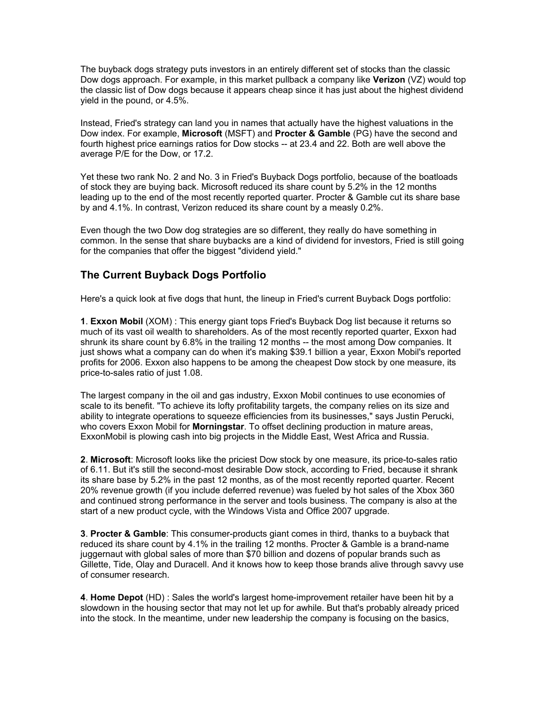The buyback dogs strategy puts investors in an entirely different set of stocks than the classic Dow dogs approach. For example, in this market pullback a company like **Verizon** (VZ) would top the classic list of Dow dogs because it appears cheap since it has just about the highest dividend yield in the pound, or 4.5%.

Instead, Fried's strategy can land you in names that actually have the highest valuations in the Dow index. For example, **Microsoft** (MSFT) and **Procter & Gamble** (PG) have the second and fourth highest price earnings ratios for Dow stocks -- at 23.4 and 22. Both are well above the average P/E for the Dow, or 17.2.

Yet these two rank No. 2 and No. 3 in Fried's Buyback Dogs portfolio, because of the boatloads of stock they are buying back. Microsoft reduced its share count by 5.2% in the 12 months leading up to the end of the most recently reported quarter. Procter & Gamble cut its share base by and 4.1%. In contrast, Verizon reduced its share count by a measly 0.2%.

Even though the two Dow dog strategies are so different, they really do have something in common. In the sense that share buybacks are a kind of dividend for investors, Fried is still going for the companies that offer the biggest "dividend yield."

## **The Current Buyback Dogs Portfolio**

Here's a quick look at five dogs that hunt, the lineup in Fried's current Buyback Dogs portfolio:

**1**. **Exxon Mobil** (XOM) : This energy giant tops Fried's Buyback Dog list because it returns so much of its vast oil wealth to shareholders. As of the most recently reported quarter, Exxon had shrunk its share count by 6.8% in the trailing 12 months -- the most among Dow companies. It just shows what a company can do when it's making \$39.1 billion a year, Exxon Mobil's reported profits for 2006. Exxon also happens to be among the cheapest Dow stock by one measure, its price-to-sales ratio of just 1.08.

The largest company in the oil and gas industry, Exxon Mobil continues to use economies of scale to its benefit. "To achieve its lofty profitability targets, the company relies on its size and ability to integrate operations to squeeze efficiencies from its businesses," says Justin Perucki, who covers Exxon Mobil for **Morningstar**. To offset declining production in mature areas, ExxonMobil is plowing cash into big projects in the Middle East, West Africa and Russia.

**2**. **Microsoft**: Microsoft looks like the priciest Dow stock by one measure, its price-to-sales ratio of 6.11. But it's still the second-most desirable Dow stock, according to Fried, because it shrank its share base by 5.2% in the past 12 months, as of the most recently reported quarter. Recent 20% revenue growth (if you include deferred revenue) was fueled by hot sales of the Xbox 360 and continued strong performance in the server and tools business. The company is also at the start of a new product cycle, with the Windows Vista and Office 2007 upgrade.

**3**. **Procter & Gamble**: This consumer-products giant comes in third, thanks to a buyback that reduced its share count by 4.1% in the trailing 12 months. Procter & Gamble is a brand-name juggernaut with global sales of more than \$70 billion and dozens of popular brands such as Gillette, Tide, Olay and Duracell. And it knows how to keep those brands alive through savvy use of consumer research.

**4**. **Home Depot** (HD) : Sales the world's largest home-improvement retailer have been hit by a slowdown in the housing sector that may not let up for awhile. But that's probably already priced into the stock. In the meantime, under new leadership the company is focusing on the basics,